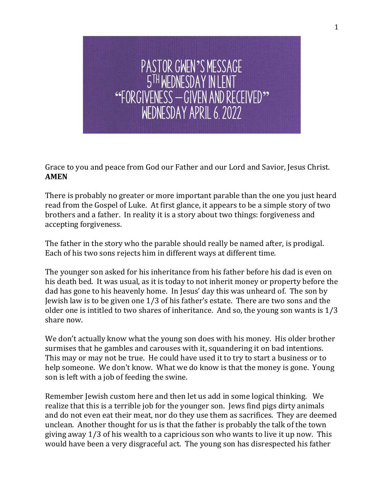

Grace to you and peace from God our Father and our Lord and Savior, Jesus Christ. **AMEN**

There is probably no greater or more important parable than the one you just heard read from the Gospel of Luke. At first glance, it appears to be a simple story of two brothers and a father. In reality it is a story about two things: forgiveness and accepting forgiveness.

The father in the story who the parable should really be named after, is prodigal. Each of his two sons rejects him in different ways at different time.

The younger son asked for his inheritance from his father before his dad is even on his death bed. It was usual, as it is today to not inherit money or property before the dad has gone to his heavenly home. In Jesus' day this was unheard of. The son by Jewish law is to be given one 1/3 of his father's estate. There are two sons and the older one is intitled to two shares of inheritance. And so, the young son wants is 1/3 share now.

We don't actually know what the young son does with his money. His older brother surmises that he gambles and carouses with it, squandering it on bad intentions. This may or may not be true. He could have used it to try to start a business or to help someone. We don't know. What we do know is that the money is gone. Young son is left with a job of feeding the swine.

Remember Jewish custom here and then let us add in some logical thinking. We realize that this is a terrible job for the younger son. Jews find pigs dirty animals and do not even eat their meat, nor do they use them as sacrifices. They are deemed unclean. Another thought for us is that the father is probably the talk of the town giving away 1/3 of his wealth to a capricious son who wants to live it up now. This would have been a very disgraceful act. The young son has disrespected his father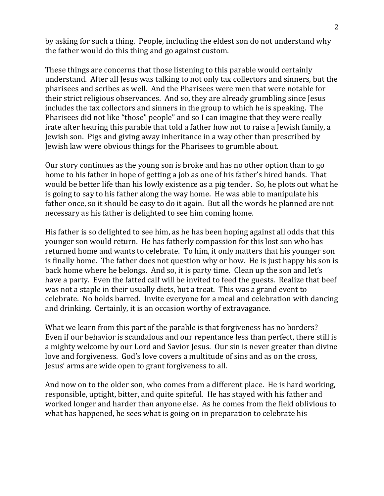by asking for such a thing. People, including the eldest son do not understand why the father would do this thing and go against custom.

These things are concerns that those listening to this parable would certainly understand. After all Jesus was talking to not only tax collectors and sinners, but the pharisees and scribes as well. And the Pharisees were men that were notable for their strict religious observances. And so, they are already grumbling since Jesus includes the tax collectors and sinners in the group to which he is speaking. The Pharisees did not like "those" people" and so I can imagine that they were really irate after hearing this parable that told a father how not to raise a Jewish family, a Jewish son. Pigs and giving away inheritance in a way other than prescribed by Jewish law were obvious things for the Pharisees to grumble about.

Our story continues as the young son is broke and has no other option than to go home to his father in hope of getting a job as one of his father's hired hands. That would be better life than his lowly existence as a pig tender. So, he plots out what he is going to say to his father along the way home. He was able to manipulate his father once, so it should be easy to do it again. But all the words he planned are not necessary as his father is delighted to see him coming home.

His father is so delighted to see him, as he has been hoping against all odds that this younger son would return. He has fatherly compassion for this lost son who has returned home and wants to celebrate. To him, it only matters that his younger son is finally home. The father does not question why or how. He is just happy his son is back home where he belongs. And so, it is party time. Clean up the son and let's have a party. Even the fatted calf will be invited to feed the guests. Realize that beef was not a staple in their usually diets, but a treat. This was a grand event to celebrate. No holds barred. Invite everyone for a meal and celebration with dancing and drinking. Certainly, it is an occasion worthy of extravagance.

What we learn from this part of the parable is that forgiveness has no borders? Even if our behavior is scandalous and our repentance less than perfect, there still is a mighty welcome by our Lord and Savior Jesus. Our sin is never greater than divine love and forgiveness. God's love covers a multitude of sins and as on the cross, Jesus' arms are wide open to grant forgiveness to all.

And now on to the older son, who comes from a different place. He is hard working, responsible, uptight, bitter, and quite spiteful. He has stayed with his father and worked longer and harder than anyone else. As he comes from the field oblivious to what has happened, he sees what is going on in preparation to celebrate his